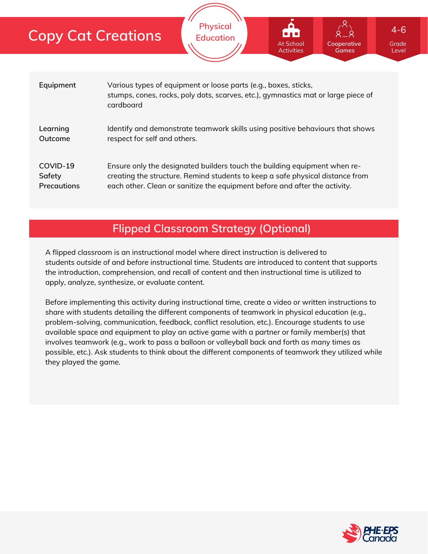| <b>Copy Cat Creations</b> |           | <b>Physical</b><br><b>Education</b>                                                                                                                  | <b>.</b><br>At School<br><b>Activities</b> | Cooperative<br><b>Games</b> |  |
|---------------------------|-----------|------------------------------------------------------------------------------------------------------------------------------------------------------|--------------------------------------------|-----------------------------|--|
| Equipment                 | cardboard | Various types of equipment or loose parts (e.g., boxes, sticks,<br>stumps, cones, rocks, poly dots, scarves, etc.), gymnastics mat or large piece of |                                            |                             |  |

**Learning Outcome** Identify and demonstrate teamwork skills using positive behaviours that shows respect for self and others.

Ensure only the designated builders touch the building equipment when recreating the structure. Remind students to keep a safe physical distance from each other. Clean or sanitize the equipment before and after the activity. **COVID-19 Safety Precautions**

## **Flipped Classroom Strategy (Optional)**

A flipped classroom is an instructional model where direct instruction is delivered to students *outside of* and *before* instructional time. Students are introduced to content that supports the introduction, comprehension, and recall of content and then instructional time is utilized to apply, analyze, synthesize, or evaluate content.

Before implementing this activity during instructional time, create a video or written instructions to share with students detailing the different components of teamwork in physical education (e.g., problem-solving, communication, feedback, conflict resolution, etc.). Encourage students to use available space and equipment to play an active game with a partner or family member(s) that involves teamwork (e.g., work to pass a balloon or volleyball back and forth as many times as possible, etc.). Ask students to think about the different components of teamwork they utilized while they played the game.



Grade Level

4-6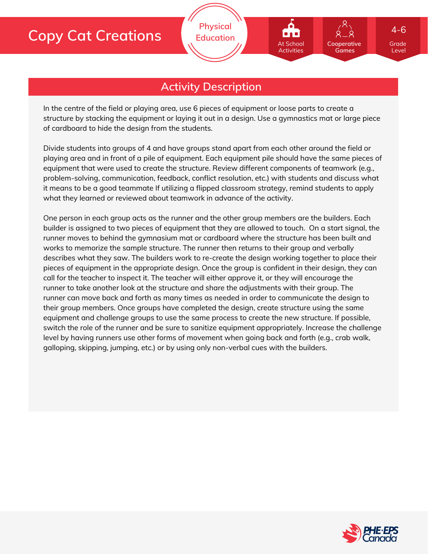

**Physical Education**

In the centre of the field or playing area, use 6 pieces of equipment or loose parts to create a structure by stacking the equipment or laying it out in a design. Use a gymnastics mat or large piece of cardboard to hide the design from the students.

Divide students into groups of 4 and have groups stand apart from each other around the field or playing area and in front of a pile of equipment. Each equipment pile should have the same pieces of equipment that were used to create the structure. Review different components of teamwork (e.g., problem-solving, communication, feedback, conflict resolution, etc.) with students and discuss what it means to be a good teammate If utilizing a flipped classroom strategy, remind students to apply what they learned or reviewed about teamwork in advance of the activity.

One person in each group acts as the runner and the other group members are the builders. Each builder is assigned to two pieces of equipment that they are allowed to touch. On a start signal, the runner moves to behind the gymnasium mat or cardboard where the structure has been built and works to memorize the sample structure. The runner then returns to their group and verbally describes what they saw. The builders work to re-create the design working together to place their pieces of equipment in the appropriate design. Once the group is confident in their design, they can call for the teacher to inspect it. The teacher will either approve it, or they will encourage the runner to take another look at the structure and share the adjustments with their group. The runner can move back and forth as many times as needed in order to communicate the design to their group members. Once groups have completed the design, create structure using the same equipment and challenge groups to use the same process to create the new structure. If possible, switch the role of the runner and be sure to sanitize equipment appropriately. Increase the challenge level by having runners use other forms of movement when going back and forth (e.g., crab walk, galloping, skipping, jumping, etc.) or by using only non-verbal cues with the builders.



Grade Level

**Cooperative Games**

At School Activities

4-6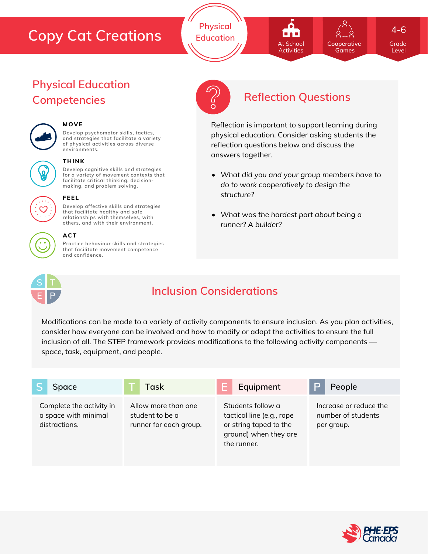## **Copy Cat Creations**

**Physical Education**



**Cooperative Games**

Grade 4-6

Level

# **Physical Education**



## **MOVE**

**Develop psychomotor skills, tactics, and strategies that facilitate a variety of physical activities across diverse environments.**



#### **THINK**

**Develop cognitive skills and strategies for a variety of movement contexts that facilitate critical thinking, decision making, and problem solving.**

**Develop affective skills and strategies that facilitate healthy and safe relationships with themselves, with**



#### **others, and with their environment. ACT**

**FEEL**

**Practice behaviour skills and strategies that facilitate movement competence and confidence.**



## **Competencies Reflection Questions**

Reflection is important to support learning during physical education. Consider asking students the reflection questions below and discuss the answers together.

- *What did you and your group members have to do to work cooperatively to design the structure?*
- *What was the hardest part about being a runner? A builder?*



## **Inclusion Considerations**

Modifications can be made to a variety of activity components to ensure inclusion. As you plan activities, consider how everyone can be involved and how to modify or adapt the activities to ensure the full inclusion of all. The STEP framework provides modifications to the following activity components space, task, equipment, and people.

| Space                                                             | Task                                                             | Equipment                                                                                                        | People                                                     |
|-------------------------------------------------------------------|------------------------------------------------------------------|------------------------------------------------------------------------------------------------------------------|------------------------------------------------------------|
| Complete the activity in<br>a space with minimal<br>distractions. | Allow more than one<br>student to be a<br>runner for each group. | Students follow a<br>tactical line (e.g., rope<br>or string taped to the<br>ground) when they are<br>the runner. | Increase or reduce the<br>number of students<br>per group. |